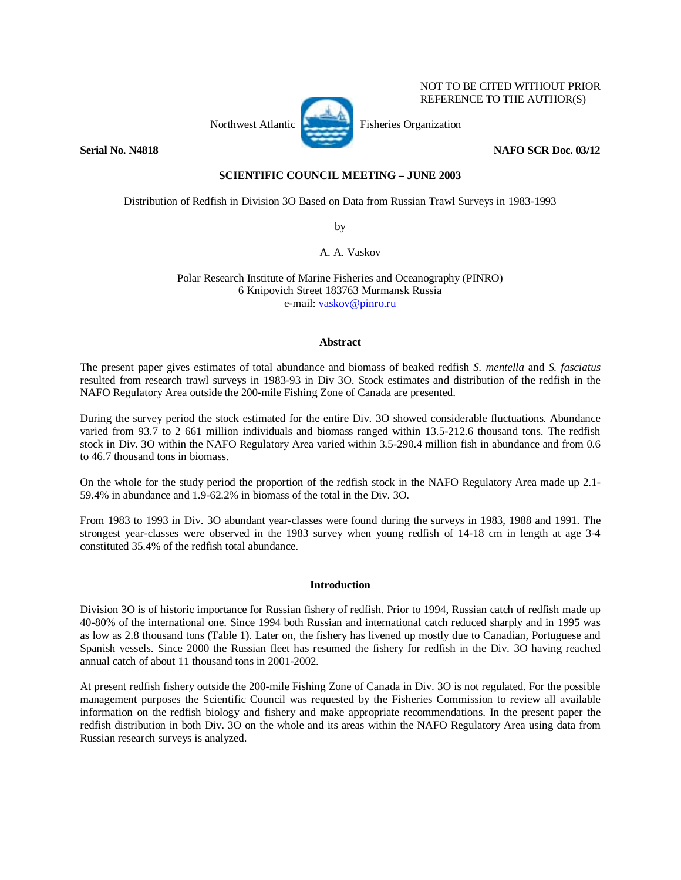

NOT TO BE CITED WITHOUT PRIOR REFERENCE TO THE AUTHOR(S)

# **Serial No. N4818** NAFO SCR Doc. 03/12

# **SCIENTIFIC COUNCIL MEETING – JUNE 2003**

Distribution of Redfish in Division 3O Based on Data from Russian Trawl Surveys in 1983-1993

by

A. A. Vaskov

Polar Research Institute of Marine Fisheries and Oceanography (PINRO) 6 Knipovich Street 183763 Murmansk Russia e-mail: vaskov@pinro.ru

### **Abstract**

The present paper gives estimates of total abundance and biomass of beaked redfish *S. mentella* and *S. fasciatus* resulted from research trawl surveys in 1983-93 in Div 3O. Stock estimates and distribution of the redfish in the NAFO Regulatory Area outside the 200-mile Fishing Zone of Canada are presented.

During the survey period the stock estimated for the entire Div. 3O showed considerable fluctuations. Abundance varied from 93.7 to 2 661 million individuals and biomass ranged within 13.5-212.6 thousand tons. The redfish stock in Div. 3O within the NAFO Regulatory Area varied within 3.5-290.4 million fish in abundance and from 0.6 to 46.7 thousand tons in biomass.

On the whole for the study period the proportion of the redfish stock in the NAFO Regulatory Area made up 2.1- 59.4% in abundance and 1.9-62.2% in biomass of the total in the Div. 3O.

From 1983 to 1993 in Div. 3O abundant year-classes were found during the surveys in 1983, 1988 and 1991. The strongest year-classes were observed in the 1983 survey when young redfish of 14-18 cm in length at age 3-4 constituted 35.4% of the redfish total abundance.

#### **Introduction**

Division 3O is of historic importance for Russian fishery of redfish. Prior to 1994, Russian catch of redfish made up 40-80% of the international one. Since 1994 both Russian and international catch reduced sharply and in 1995 was as low as 2.8 thousand tons (Table 1). Later on, the fishery has livened up mostly due to Canadian, Portuguese and Spanish vessels. Since 2000 the Russian fleet has resumed the fishery for redfish in the Div. 3O having reached annual catch of about 11 thousand tons in 2001-2002.

At present redfish fishery outside the 200-mile Fishing Zone of Canada in Div. 3O is not regulated. For the possible management purposes the Scientific Council was requested by the Fisheries Commission to review all available information on the redfish biology and fishery and make appropriate recommendations. In the present paper the redfish distribution in both Div. 3O on the whole and its areas within the NAFO Regulatory Area using data from Russian research surveys is analyzed.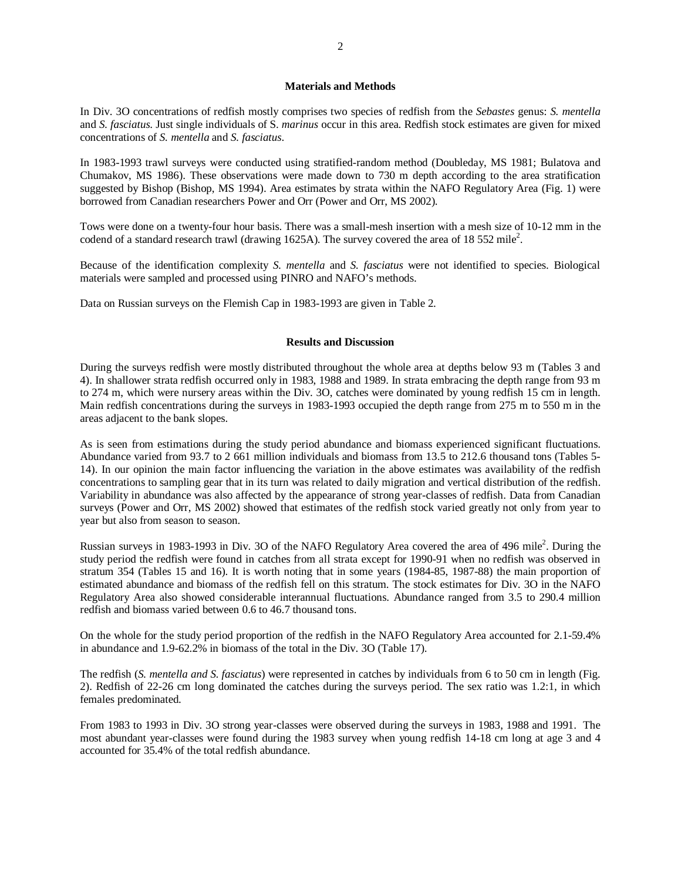#### **Materials and Methods**

In Div. 3O concentrations of redfish mostly comprises two species of redfish from the *Sebastes* genus: *S. mentella* and *S. fasciatus*. Just single individuals of S. *marinus* occur in this area. Redfish stock estimates are given for mixed concentrations of *S. mentella* and *S. fasciatus*.

In 1983-1993 trawl surveys were conducted using stratified-random method (Doubleday, MS 1981; Bulatova and Chumakov, MS 1986). These observations were made down to 730 m depth according to the area stratification suggested by Bishop (Bishop, MS 1994). Area estimates by strata within the NAFO Regulatory Area (Fig. 1) were borrowed from Canadian researchers Power and Orr (Power and Orr, MS 2002).

Tows were done on a twenty-four hour basis. There was a small-mesh insertion with a mesh size of 10-12 mm in the codend of a standard research trawl (drawing 1625A). The survey covered the area of 18 552 mile<sup>2</sup>.

Because of the identification complexity *S. mentella* and *S. fasciatus* were not identified to species. Biological materials were sampled and processed using PINRO and NAFO's methods.

Data on Russian surveys on the Flemish Cap in 1983-1993 are given in Table 2.

### **Results and Discussion**

During the surveys redfish were mostly distributed throughout the whole area at depths below 93 m (Tables 3 and 4). In shallower strata redfish occurred only in 1983, 1988 and 1989. In strata embracing the depth range from 93 m to 274 m, which were nursery areas within the Div. 3O, catches were dominated by young redfish 15 cm in length. Main redfish concentrations during the surveys in 1983-1993 occupied the depth range from 275 m to 550 m in the areas adjacent to the bank slopes.

As is seen from estimations during the study period abundance and biomass experienced significant fluctuations. Abundance varied from 93.7 to 2 661 million individuals and biomass from 13.5 to 212.6 thousand tons (Tables 5- 14). In our opinion the main factor influencing the variation in the above estimates was availability of the redfish concentrations to sampling gear that in its turn was related to daily migration and vertical distribution of the redfish. Variability in abundance was also affected by the appearance of strong year-classes of redfish. Data from Canadian surveys (Power and Orr, MS 2002) showed that estimates of the redfish stock varied greatly not only from year to year but also from season to season.

Russian surveys in 1983-1993 in Div. 3O of the NAFO Regulatory Area covered the area of 496 mile<sup>2</sup>. During the study period the redfish were found in catches from all strata except for 1990-91 when no redfish was observed in stratum 354 (Tables 15 and 16). It is worth noting that in some years (1984-85, 1987-88) the main proportion of estimated abundance and biomass of the redfish fell on this stratum. The stock estimates for Div. 3O in the NAFO Regulatory Area also showed considerable interannual fluctuations. Abundance ranged from 3.5 to 290.4 million redfish and biomass varied between 0.6 to 46.7 thousand tons.

On the whole for the study period proportion of the redfish in the NAFO Regulatory Area accounted for 2.1-59.4% in abundance and 1.9-62.2% in biomass of the total in the Div. 3O (Table 17).

The redfish (*S. mentella and S. fasciatus*) were represented in catches by individuals from 6 to 50 cm in length (Fig. 2). Redfish of 22-26 cm long dominated the catches during the surveys period. The sex ratio was 1.2:1, in which females predominated.

From 1983 to 1993 in Div. 3O strong year-classes were observed during the surveys in 1983, 1988 and 1991. The most abundant year-classes were found during the 1983 survey when young redfish 14-18 cm long at age 3 and 4 accounted for 35.4% of the total redfish abundance.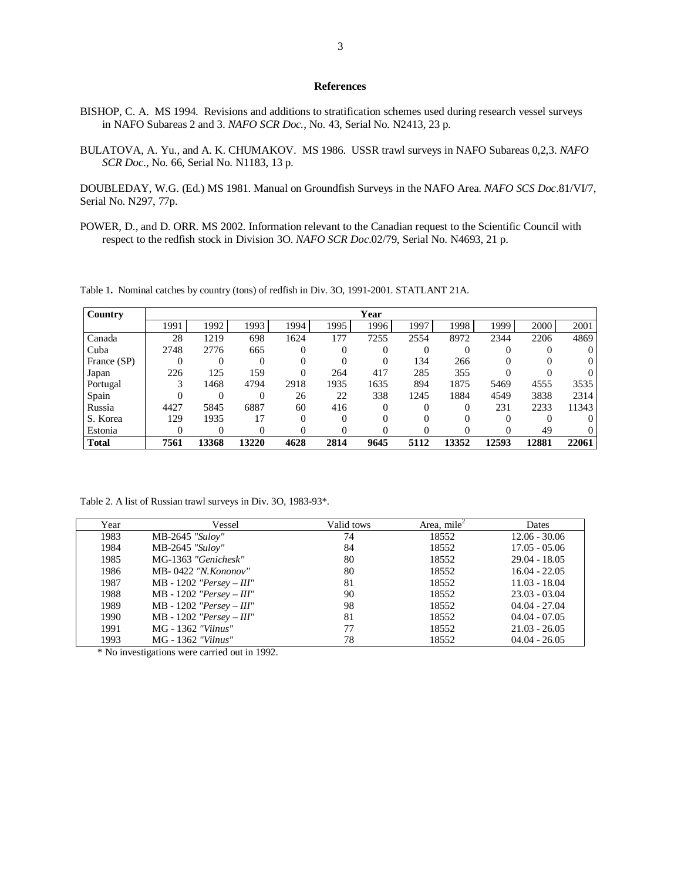#### **References**

- BISHOP, C. A. MS 1994. Revisions and additions to stratification schemes used during research vessel surveys in NAFO Subareas 2 and 3. *NAFO SCR Doc.*, No. 43, Serial No. N2413, 23 p.
- BULATOVA, A. Yu., and A. K. CHUMAKOV. MS 1986. USSR trawl surveys in NAFO Subareas 0,2,3. *NAFO SCR Doc*., No. 66, Serial No. N1183, 13 p.

DOUBLEDAY, W.G. (Ed.) MS 1981. Manual on Groundfish Surveys in the NAFO Area. *NAFO SCS Doc*.81/VI/7, Serial No. N297, 77p.

POWER, D., and D. ORR. MS 2002. Information relevant to the Canadian request to the Scientific Council with respect to the redfish stock in Division 3O. *NAFO SCR Doc*.02/79, Serial No. N4693, 21 p.

Table 1**.** Nominal catches by country (tons) of redfish in Div. 3O, 1991-2001. STATLANT 21A.

| Country      | Year |       |       |      |          |          |      |       |       |          |       |
|--------------|------|-------|-------|------|----------|----------|------|-------|-------|----------|-------|
|              | 1991 | 1992  | 1993  | 1994 | 1995     | 1996     | 1997 | 1998  | 1999  | 2000     | 2001  |
| Canada       | 28   | 1219  | 698   | 1624 | 177      | 7255     | 2554 | 8972  | 2344  | 2206     | 4869  |
| Cuba         | 2748 | 2776  | 665   | 0    | 0        |          |      |       |       | $\Omega$ |       |
| France (SP)  | 0    | 0     | 0     |      |          | $\Omega$ | 134  | 266   |       |          |       |
| Japan        | 226  | 125   | 159   |      | 264      | 417      | 285  | 355   |       |          |       |
| Portugal     | 3    | 1468  | 4794  | 2918 | 1935     | 1635     | 894  | 1875  | 5469  | 4555     | 3535  |
| Spain        |      | 0     | 0     | 26   | 22       | 338      | 1245 | 1884  | 4549  | 3838     | 2314  |
| Russia       | 4427 | 5845  | 6887  | 60   | 416      | $\Omega$ |      |       | 231   | 2233     | 11343 |
| S. Korea     | 129  | 1935  | 17    | 0    | $\Omega$ | 0        |      |       |       |          |       |
| Estonia      | 0    | 0     | 0     |      | 0        | 0        |      |       |       | 49       |       |
| <b>Total</b> | 7561 | 13368 | 13220 | 4628 | 2814     | 9645     | 5112 | 13352 | 12593 | 12881    | 22061 |

Table 2. A list of Russian trawl surveys in Div. 3O, 1983-93\*.

| Year | Vessel                      | Valid tows | Area, mile <sup>2</sup> | Dates           |
|------|-----------------------------|------------|-------------------------|-----------------|
| 1983 | $MB-2645$ "Suloy"           | 74         | 18552                   | $12.06 - 30.06$ |
| 1984 | MB-2645 "Suloy"             | 84         | 18552                   | $17.05 - 05.06$ |
| 1985 | MG-1363 "Genichesk"         | 80         | 18552                   | $29.04 - 18.05$ |
| 1986 | MB-0422 "N. Kononov"        | 80         | 18552                   | $16.04 - 22.05$ |
| 1987 | $MB - 1202$ "Persey - III"  | 81         | 18552                   | $11.03 - 18.04$ |
| 1988 | $MB - 1202$ "Persey - III"  | 90         | 18552                   | $23.03 - 03.04$ |
| 1989 | MB - 1202 "Persey - $III$ " | 98         | 18552                   | $04.04 - 27.04$ |
| 1990 | MB - 1202 "Persey - $III$ " | 81         | 18552                   | $04.04 - 07.05$ |
| 1991 | MG - 1362 "Vilnus"          | 77         | 18552                   | $21.03 - 26.05$ |
| 1993 | MG - 1362 "Vilnus"          | 78         | 18552                   | $04.04 - 26.05$ |

\* No investigations were carried out in 1992.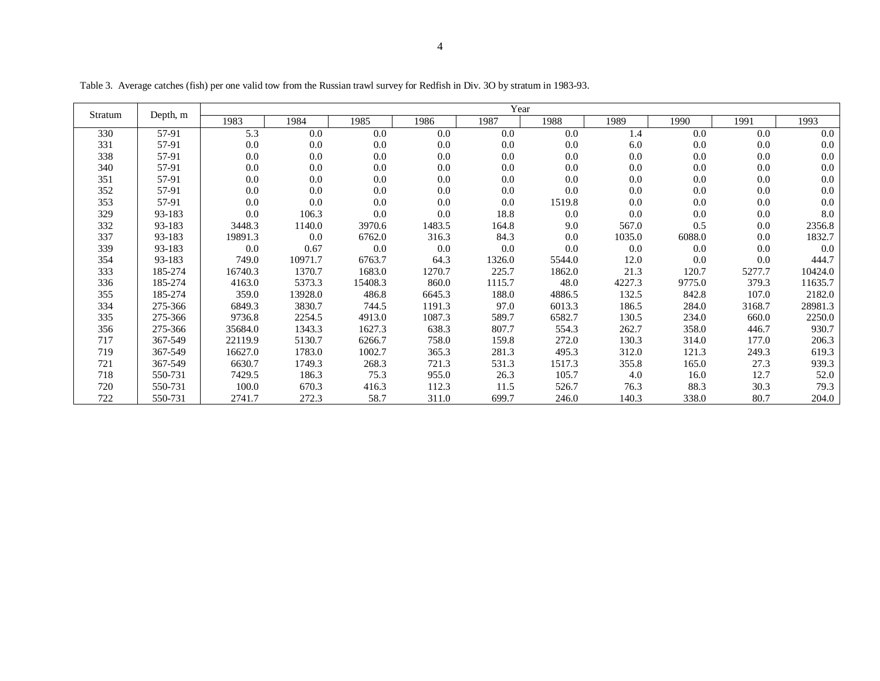|         |          |         |         |         |        | Year   |        |        |        |        |         |
|---------|----------|---------|---------|---------|--------|--------|--------|--------|--------|--------|---------|
| Stratum | Depth, m | 1983    | 1984    | 1985    | 1986   | 1987   | 1988   | 1989   | 1990   | 1991   | 1993    |
| 330     | 57-91    | 5.3     | 0.0     | 0.0     | 0.0    | 0.0    | 0.0    | 1.4    | 0.0    | 0.0    | 0.0     |
| 331     | 57-91    | 0.0     | 0.0     | 0.0     | 0.0    | 0.0    | 0.0    | 6.0    | 0.0    | 0.0    | 0.0     |
| 338     | 57-91    | 0.0     | 0.0     | 0.0     | 0.0    | 0.0    | 0.0    | 0.0    | 0.0    | 0.0    | 0.0     |
| 340     | 57-91    | 0.0     | 0.0     | 0.0     | 0.0    | 0.0    | 0.0    | 0.0    | 0.0    | 0.0    | 0.0     |
| 351     | 57-91    | 0.0     | 0.0     | 0.0     | 0.0    | 0.0    | 0.0    | 0.0    | 0.0    | 0.0    | 0.0     |
| 352     | 57-91    | 0.0     | 0.0     | 0.0     | 0.0    | 0.0    | 0.0    | 0.0    | 0.0    | 0.0    | 0.0     |
| 353     | 57-91    | 0.0     | 0.0     | 0.0     | 0.0    | 0.0    | 1519.8 | 0.0    | 0.0    | 0.0    | 0.0     |
| 329     | 93-183   | 0.0     | 106.3   | 0.0     | 0.0    | 18.8   | 0.0    | 0.0    | 0.0    | 0.0    | 8.0     |
| 332     | 93-183   | 3448.3  | 1140.0  | 3970.6  | 1483.5 | 164.8  | 9.0    | 567.0  | 0.5    | 0.0    | 2356.8  |
| 337     | 93-183   | 19891.3 | 0.0     | 6762.0  | 316.3  | 84.3   | 0.0    | 1035.0 | 6088.0 | 0.0    | 1832.7  |
| 339     | 93-183   | 0.0     | 0.67    | 0.0     | 0.0    | 0.0    | 0.0    | 0.0    | 0.0    | 0.0    | 0.0     |
| 354     | 93-183   | 749.0   | 10971.7 | 6763.7  | 64.3   | 1326.0 | 5544.0 | 12.0   | 0.0    | 0.0    | 444.7   |
| 333     | 185-274  | 16740.3 | 1370.7  | 1683.0  | 1270.7 | 225.7  | 1862.0 | 21.3   | 120.7  | 5277.7 | 10424.0 |
| 336     | 185-274  | 4163.0  | 5373.3  | 15408.3 | 860.0  | 1115.7 | 48.0   | 4227.3 | 9775.0 | 379.3  | 11635.7 |
| 355     | 185-274  | 359.0   | 13928.0 | 486.8   | 6645.3 | 188.0  | 4886.5 | 132.5  | 842.8  | 107.0  | 2182.0  |
| 334     | 275-366  | 6849.3  | 3830.7  | 744.5   | 1191.3 | 97.0   | 6013.3 | 186.5  | 284.0  | 3168.7 | 28981.3 |
| 335     | 275-366  | 9736.8  | 2254.5  | 4913.0  | 1087.3 | 589.7  | 6582.7 | 130.5  | 234.0  | 660.0  | 2250.0  |
| 356     | 275-366  | 35684.0 | 1343.3  | 1627.3  | 638.3  | 807.7  | 554.3  | 262.7  | 358.0  | 446.7  | 930.7   |
| 717     | 367-549  | 22119.9 | 5130.7  | 6266.7  | 758.0  | 159.8  | 272.0  | 130.3  | 314.0  | 177.0  | 206.3   |
| 719     | 367-549  | 16627.0 | 1783.0  | 1002.7  | 365.3  | 281.3  | 495.3  | 312.0  | 121.3  | 249.3  | 619.3   |
| 721     | 367-549  | 6630.7  | 1749.3  | 268.3   | 721.3  | 531.3  | 1517.3 | 355.8  | 165.0  | 27.3   | 939.3   |
| 718     | 550-731  | 7429.5  | 186.3   | 75.3    | 955.0  | 26.3   | 105.7  | 4.0    | 16.0   | 12.7   | 52.0    |
| 720     | 550-731  | 100.0   | 670.3   | 416.3   | 112.3  | 11.5   | 526.7  | 76.3   | 88.3   | 30.3   | 79.3    |
| 722     | 550-731  | 2741.7  | 272.3   | 58.7    | 311.0  | 699.7  | 246.0  | 140.3  | 338.0  | 80.7   | 204.0   |

Table 3. Average catches (fish) per one valid tow from the Russian trawl survey for Redfish in Div. 3O by stratum in 1983-93.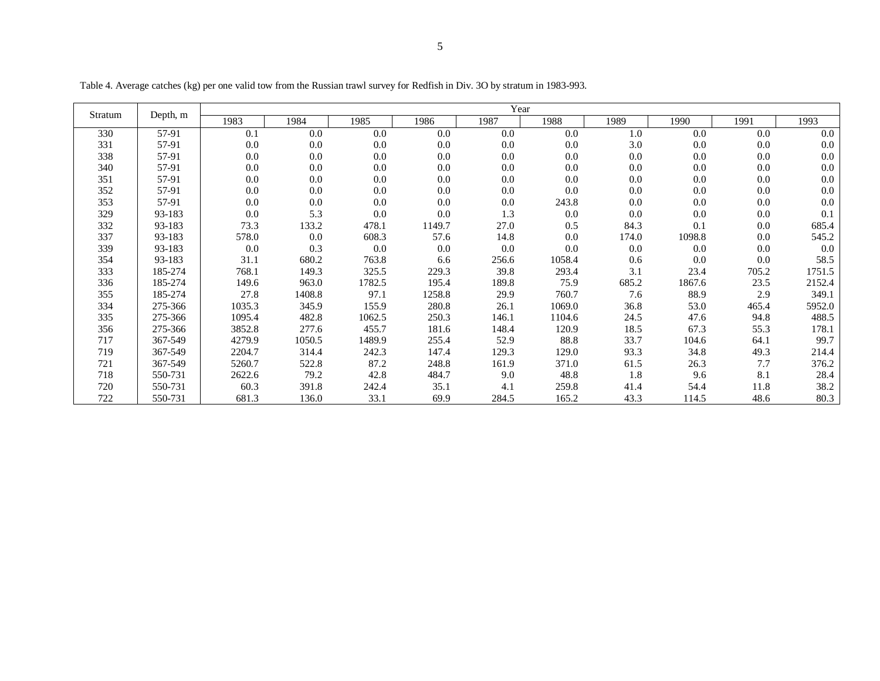| Stratum | Depth, m |        |        |        |        | Year  |        |       |        |       |        |
|---------|----------|--------|--------|--------|--------|-------|--------|-------|--------|-------|--------|
|         |          | 1983   | 1984   | 1985   | 1986   | 1987  | 1988   | 1989  | 1990   | 1991  | 1993   |
| 330     | 57-91    | 0.1    | 0.0    | 0.0    | 0.0    | 0.0   | 0.0    | 1.0   | 0.0    | 0.0   | 0.0    |
| 331     | 57-91    | 0.0    | 0.0    | 0.0    | 0.0    | 0.0   | 0.0    | 3.0   | 0.0    | 0.0   | 0.0    |
| 338     | 57-91    | 0.0    | 0.0    | 0.0    | 0.0    | 0.0   | 0.0    | 0.0   | 0.0    | 0.0   | 0.0    |
| 340     | 57-91    | 0.0    | 0.0    | 0.0    | 0.0    | 0.0   | 0.0    | 0.0   | 0.0    | 0.0   | 0.0    |
| 351     | 57-91    | 0.0    | 0.0    | 0.0    | 0.0    | 0.0   | 0.0    | 0.0   | 0.0    | 0.0   | 0.0    |
| 352     | 57-91    | 0.0    | 0.0    | 0.0    | 0.0    | 0.0   | 0.0    | 0.0   | 0.0    | 0.0   | 0.0    |
| 353     | 57-91    | 0.0    | 0.0    | 0.0    | 0.0    | 0.0   | 243.8  | 0.0   | 0.0    | 0.0   | 0.0    |
| 329     | 93-183   | 0.0    | 5.3    | 0.0    | 0.0    | 1.3   | 0.0    | 0.0   | 0.0    | 0.0   | 0.1    |
| 332     | 93-183   | 73.3   | 133.2  | 478.1  | 1149.7 | 27.0  | 0.5    | 84.3  | 0.1    | 0.0   | 685.4  |
| 337     | 93-183   | 578.0  | 0.0    | 608.3  | 57.6   | 14.8  | 0.0    | 174.0 | 1098.8 | 0.0   | 545.2  |
| 339     | 93-183   | 0.0    | 0.3    | 0.0    | 0.0    | 0.0   | 0.0    | 0.0   | 0.0    | 0.0   | 0.0    |
| 354     | 93-183   | 31.1   | 680.2  | 763.8  | 6.6    | 256.6 | 1058.4 | 0.6   | 0.0    | 0.0   | 58.5   |
| 333     | 185-274  | 768.1  | 149.3  | 325.5  | 229.3  | 39.8  | 293.4  | 3.1   | 23.4   | 705.2 | 1751.5 |
| 336     | 185-274  | 149.6  | 963.0  | 1782.5 | 195.4  | 189.8 | 75.9   | 685.2 | 1867.6 | 23.5  | 2152.4 |
| 355     | 185-274  | 27.8   | 1408.8 | 97.1   | 1258.8 | 29.9  | 760.7  | 7.6   | 88.9   | 2.9   | 349.1  |
| 334     | 275-366  | 1035.3 | 345.9  | 155.9  | 280.8  | 26.1  | 1069.0 | 36.8  | 53.0   | 465.4 | 5952.0 |
| 335     | 275-366  | 1095.4 | 482.8  | 1062.5 | 250.3  | 146.1 | 1104.6 | 24.5  | 47.6   | 94.8  | 488.5  |
| 356     | 275-366  | 3852.8 | 277.6  | 455.7  | 181.6  | 148.4 | 120.9  | 18.5  | 67.3   | 55.3  | 178.1  |
| 717     | 367-549  | 4279.9 | 1050.5 | 1489.9 | 255.4  | 52.9  | 88.8   | 33.7  | 104.6  | 64.1  | 99.7   |
| 719     | 367-549  | 2204.7 | 314.4  | 242.3  | 147.4  | 129.3 | 129.0  | 93.3  | 34.8   | 49.3  | 214.4  |
| 721     | 367-549  | 5260.7 | 522.8  | 87.2   | 248.8  | 161.9 | 371.0  | 61.5  | 26.3   | 7.7   | 376.2  |
| 718     | 550-731  | 2622.6 | 79.2   | 42.8   | 484.7  | 9.0   | 48.8   | 1.8   | 9.6    | 8.1   | 28.4   |
| 720     | 550-731  | 60.3   | 391.8  | 242.4  | 35.1   | 4.1   | 259.8  | 41.4  | 54.4   | 11.8  | 38.2   |
| 722     | 550-731  | 681.3  | 136.0  | 33.1   | 69.9   | 284.5 | 165.2  | 43.3  | 114.5  | 48.6  | 80.3   |

Table 4. Average catches (kg) per one valid tow from the Russian trawl survey for Redfish in Div. 3O by stratum in 1983-993.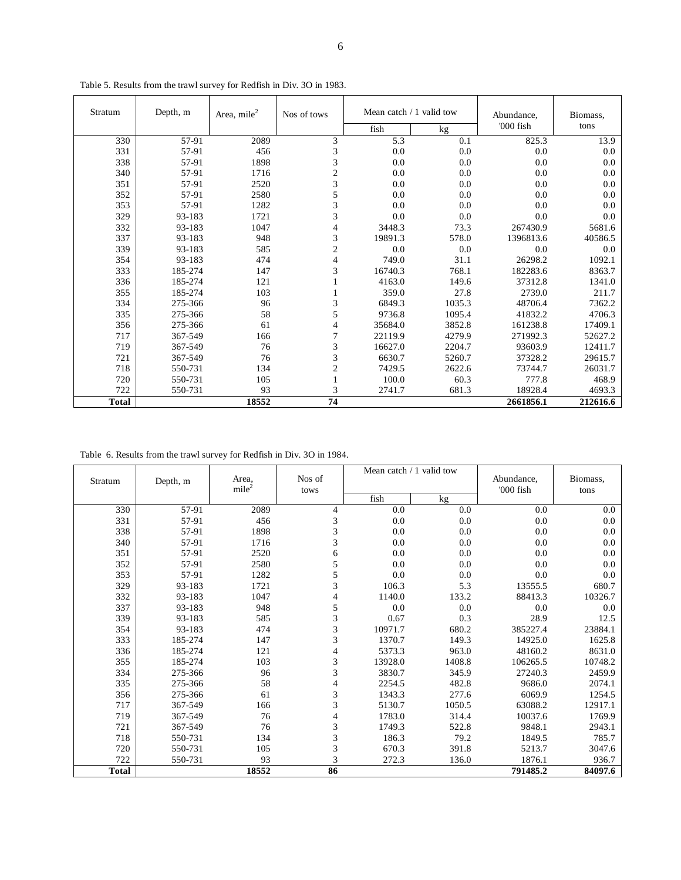| Stratum      | Depth, m | Area, mile <sup>2</sup> | Nos of tows    | Mean catch $/1$ valid tow |        | Abundance, | Biomass. |
|--------------|----------|-------------------------|----------------|---------------------------|--------|------------|----------|
|              |          |                         |                | fish                      | kg     | '000 fish  | tons     |
| 330          | 57-91    | 2089                    | 3              | 5.3                       | 0.1    | 825.3      | 13.9     |
| 331          | 57-91    | 456                     | 3              | 0.0                       | 0.0    | 0.0        | 0.0      |
| 338          | 57-91    | 1898                    | 3              | 0.0                       | 0.0    | 0.0        | 0.0      |
| 340          | 57-91    | 1716                    | $\overline{c}$ | 0.0                       | 0.0    | 0.0        | 0.0      |
| 351          | 57-91    | 2520                    | 3              | 0.0                       | 0.0    | 0.0        | 0.0      |
| 352          | 57-91    | 2580                    | 5              | 0.0                       | 0.0    | 0.0        | 0.0      |
| 353          | 57-91    | 1282                    | 3              | 0.0                       | 0.0    | 0.0        | 0.0      |
| 329          | 93-183   | 1721                    | 3              | 0.0                       | 0.0    | 0.0        | 0.0      |
| 332          | 93-183   | 1047                    | $\overline{4}$ | 3448.3                    | 73.3   | 267430.9   | 5681.6   |
| 337          | 93-183   | 948                     | 3              | 19891.3                   | 578.0  | 1396813.6  | 40586.5  |
| 339          | 93-183   | 585                     | $\overline{c}$ | 0.0                       | 0.0    | 0.0        | 0.0      |
| 354          | 93-183   | 474                     | 4              | 749.0                     | 31.1   | 26298.2    | 1092.1   |
| 333          | 185-274  | 147                     | 3              | 16740.3                   | 768.1  | 182283.6   | 8363.7   |
| 336          | 185-274  | 121                     |                | 4163.0                    | 149.6  | 37312.8    | 1341.0   |
| 355          | 185-274  | 103                     |                | 359.0                     | 27.8   | 2739.0     | 211.7    |
| 334          | 275-366  | 96                      | 3              | 6849.3                    | 1035.3 | 48706.4    | 7362.2   |
| 335          | 275-366  | 58                      | 5              | 9736.8                    | 1095.4 | 41832.2    | 4706.3   |
| 356          | 275-366  | 61                      | 4              | 35684.0                   | 3852.8 | 161238.8   | 17409.1  |
| 717          | 367-549  | 166                     | $\overline{7}$ | 22119.9                   | 4279.9 | 271992.3   | 52627.2  |
| 719          | 367-549  | 76                      | 3              | 16627.0                   | 2204.7 | 93603.9    | 12411.7  |
| 721          | 367-549  | 76                      | 3              | 6630.7                    | 5260.7 | 37328.2    | 29615.7  |
| 718          | 550-731  | 134                     | $\overline{c}$ | 7429.5                    | 2622.6 | 73744.7    | 26031.7  |
| 720          | 550-731  | 105                     |                | 100.0                     | 60.3   | 777.8      | 468.9    |
| 722          | 550-731  | 93                      | 3              | 2741.7                    | 681.3  | 18928.4    | 4693.3   |
| <b>Total</b> |          | 18552                   | 74             |                           |        | 2661856.1  | 212616.6 |

Table 5. Results from the trawl survey for Redfish in Div. 3O in 1983.

Table 6. Results from the trawl survey for Redfish in Div. 3O in 1984.

| Stratum      | Depth, m | Area,             | Nos of         |         | Mean catch / 1 valid tow | Abundance, | Biomass, |
|--------------|----------|-------------------|----------------|---------|--------------------------|------------|----------|
|              |          | mile <sup>2</sup> | tows           | fish    | kg                       | '000 fish  | tons     |
| 330          | 57-91    | 2089              | $\overline{4}$ | 0.0     | 0.0                      | 0.0        | 0.0      |
| 331          | 57-91    | 456               | 3              | 0.0     | 0.0                      | 0.0        | 0.0      |
| 338          | 57-91    | 1898              | 3              | 0.0     | 0.0                      | 0.0        | 0.0      |
| 340          | 57-91    | 1716              | 3              | 0.0     | 0.0                      | 0.0        | 0.0      |
| 351          | 57-91    | 2520              | 6              | 0.0     | 0.0                      | 0.0        | 0.0      |
| 352          | 57-91    | 2580              | 5              | 0.0     | 0.0                      | 0.0        | 0.0      |
| 353          | 57-91    | 1282              | 5              | 0.0     | 0.0                      | 0.0        | 0.0      |
| 329          | 93-183   | 1721              | 3              | 106.3   | 5.3                      | 13555.5    | 680.7    |
| 332          | 93-183   | 1047              | 4              | 1140.0  | 133.2                    | 88413.3    | 10326.7  |
| 337          | 93-183   | 948               | 5              | 0.0     | 0.0                      | 0.0        | 0.0      |
| 339          | 93-183   | 585               | 3              | 0.67    | 0.3                      | 28.9       | 12.5     |
| 354          | 93-183   | 474               | 3              | 10971.7 | 680.2                    | 385227.4   | 23884.1  |
| 333          | 185-274  | 147               | 3              | 1370.7  | 149.3                    | 14925.0    | 1625.8   |
| 336          | 185-274  | 121               | 4              | 5373.3  | 963.0                    | 48160.2    | 8631.0   |
| 355          | 185-274  | 103               | 3              | 13928.0 | 1408.8                   | 106265.5   | 10748.2  |
| 334          | 275-366  | 96                | 3              | 3830.7  | 345.9                    | 27240.3    | 2459.9   |
| 335          | 275-366  | 58                | $\overline{4}$ | 2254.5  | 482.8                    | 9686.0     | 2074.1   |
| 356          | 275-366  | 61                | 3              | 1343.3  | 277.6                    | 6069.9     | 1254.5   |
| 717          | 367-549  | 166               | 3              | 5130.7  | 1050.5                   | 63088.2    | 12917.1  |
| 719          | 367-549  | 76                | 4              | 1783.0  | 314.4                    | 10037.6    | 1769.9   |
| 721          | 367-549  | 76                | 3              | 1749.3  | 522.8                    | 9848.1     | 2943.1   |
| 718          | 550-731  | 134               | 3              | 186.3   | 79.2                     | 1849.5     | 785.7    |
| 720          | 550-731  | 105               | 3              | 670.3   | 391.8                    | 5213.7     | 3047.6   |
| 722          | 550-731  | 93                | 3              | 272.3   | 136.0                    | 1876.1     | 936.7    |
| <b>Total</b> |          | 18552             | 86             |         |                          | 791485.2   | 84097.6  |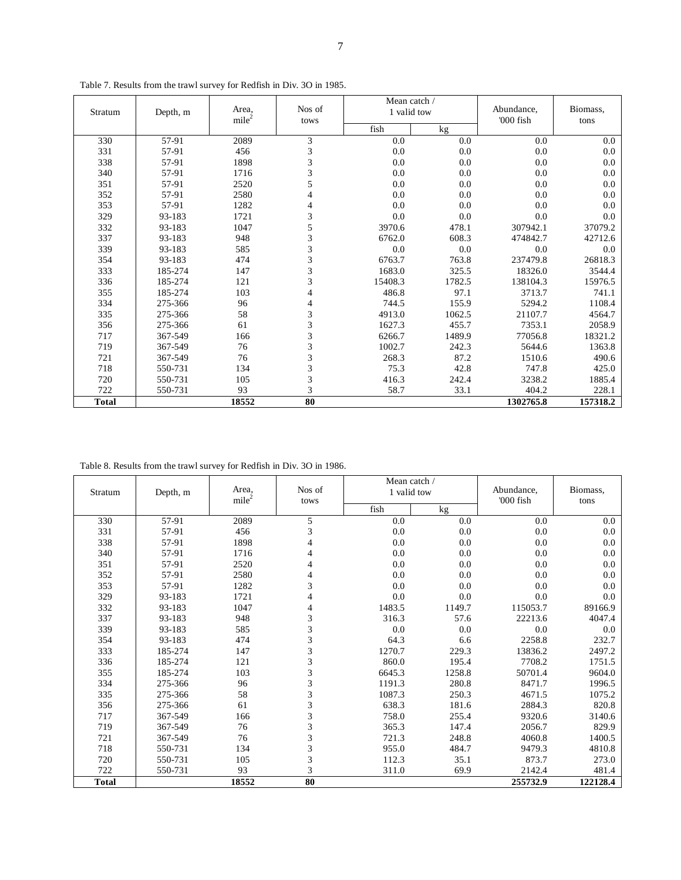| Stratum      | Depth, m | Area,             | Nos of         | Mean catch /<br>1 valid tow |        | Abundance, | Biomass, |
|--------------|----------|-------------------|----------------|-----------------------------|--------|------------|----------|
|              |          | mile <sup>2</sup> | tows           | fish                        | kg     | '000 fish  | tons     |
| 330          | 57-91    | 2089              | 3              | 0.0                         | 0.0    | 0.0        | 0.0      |
| 331          | 57-91    | 456               | 3              | 0.0                         | 0.0    | 0.0        | 0.0      |
| 338          | 57-91    | 1898              | 3              | 0.0                         | 0.0    | 0.0        | 0.0      |
| 340          | 57-91    | 1716              | 3              | 0.0                         | 0.0    | 0.0        | 0.0      |
| 351          | 57-91    | 2520              | 5              | 0.0                         | 0.0    | 0.0        | 0.0      |
| 352          | 57-91    | 2580              | 4              | 0.0                         | 0.0    | 0.0        | 0.0      |
| 353          | 57-91    | 1282              | $\overline{4}$ | 0.0                         | 0.0    | 0.0        | 0.0      |
| 329          | 93-183   | 1721              | 3              | 0.0                         | 0.0    | 0.0        | 0.0      |
| 332          | 93-183   | 1047              | 5              | 3970.6                      | 478.1  | 307942.1   | 37079.2  |
| 337          | 93-183   | 948               | 3              | 6762.0                      | 608.3  | 474842.7   | 42712.6  |
| 339          | 93-183   | 585               | 3              | 0.0                         | 0.0    | 0.0        | 0.0      |
| 354          | 93-183   | 474               | 3              | 6763.7                      | 763.8  | 237479.8   | 26818.3  |
| 333          | 185-274  | 147               | 3              | 1683.0                      | 325.5  | 18326.0    | 3544.4   |
| 336          | 185-274  | 121               | 3              | 15408.3                     | 1782.5 | 138104.3   | 15976.5  |
| 355          | 185-274  | 103               | 4              | 486.8                       | 97.1   | 3713.7     | 741.1    |
| 334          | 275-366  | 96                | 4              | 744.5                       | 155.9  | 5294.2     | 1108.4   |
| 335          | 275-366  | 58                | 3              | 4913.0                      | 1062.5 | 21107.7    | 4564.7   |
| 356          | 275-366  | 61                | 3              | 1627.3                      | 455.7  | 7353.1     | 2058.9   |
| 717          | 367-549  | 166               | 3              | 6266.7                      | 1489.9 | 77056.8    | 18321.2  |
| 719          | 367-549  | 76                | 3              | 1002.7                      | 242.3  | 5644.6     | 1363.8   |
| 721          | 367-549  | 76                | 3              | 268.3                       | 87.2   | 1510.6     | 490.6    |
| 718          | 550-731  | 134               | 3              | 75.3                        | 42.8   | 747.8      | 425.0    |
| 720          | 550-731  | 105               | $\overline{3}$ | 416.3                       | 242.4  | 3238.2     | 1885.4   |
| 722          | 550-731  | 93                | 3              | 58.7                        | 33.1   | 404.2      | 228.1    |
| <b>Total</b> |          | 18552             | 80             |                             |        | 1302765.8  | 157318.2 |

Table 7. Results from the trawl survey for Redfish in Div. 3O in 1985.

Table 8. Results from the trawl survey for Redfish in Div. 3O in 1986.

| Stratum      | Depth, m | Area,<br>mile <sup>2</sup> | Nos of<br>tows | Mean catch /<br>1 valid tow |        | Abundance,<br>'000 fish | Biomass,<br>tons |
|--------------|----------|----------------------------|----------------|-----------------------------|--------|-------------------------|------------------|
|              |          |                            |                | fish                        | kg     |                         |                  |
| 330          | 57-91    | 2089                       | 5              | 0.0                         | 0.0    | 0.0                     | 0.0              |
| 331          | 57-91    | 456                        | 3              | 0.0                         | 0.0    | 0.0                     | 0.0              |
| 338          | 57-91    | 1898                       | 4              | 0.0                         | 0.0    | 0.0                     | 0.0              |
| 340          | 57-91    | 1716                       | 4              | 0.0                         | 0.0    | 0.0                     | 0.0              |
| 351          | 57-91    | 2520                       | 4              | 0.0                         | 0.0    | 0.0                     | 0.0              |
| 352          | 57-91    | 2580                       | 4              | 0.0                         | 0.0    | 0.0                     | 0.0              |
| 353          | 57-91    | 1282                       | 3              | 0.0                         | 0.0    | 0.0                     | 0.0              |
| 329          | 93-183   | 1721                       | 4              | 0.0                         | 0.0    | 0.0                     | 0.0              |
| 332          | 93-183   | 1047                       | 4              | 1483.5                      | 1149.7 | 115053.7                | 89166.9          |
| 337          | 93-183   | 948                        | 3              | 316.3                       | 57.6   | 22213.6                 | 4047.4           |
| 339          | 93-183   | 585                        | 3              | 0.0                         | 0.0    | 0.0                     | 0.0              |
| 354          | 93-183   | 474                        | 3              | 64.3                        | 6.6    | 2258.8                  | 232.7            |
| 333          | 185-274  | 147                        | 3              | 1270.7                      | 229.3  | 13836.2                 | 2497.2           |
| 336          | 185-274  | 121                        | 3              | 860.0                       | 195.4  | 7708.2                  | 1751.5           |
| 355          | 185-274  | 103                        | 3              | 6645.3                      | 1258.8 | 50701.4                 | 9604.0           |
| 334          | 275-366  | 96                         | 3              | 1191.3                      | 280.8  | 8471.7                  | 1996.5           |
| 335          | 275-366  | 58                         | 3              | 1087.3                      | 250.3  | 4671.5                  | 1075.2           |
| 356          | 275-366  | 61                         | 3              | 638.3                       | 181.6  | 2884.3                  | 820.8            |
| 717          | 367-549  | 166                        | 3              | 758.0                       | 255.4  | 9320.6                  | 3140.6           |
| 719          | 367-549  | 76                         | 3              | 365.3                       | 147.4  | 2056.7                  | 829.9            |
| 721          | 367-549  | 76                         | 3              | 721.3                       | 248.8  | 4060.8                  | 1400.5           |
| 718          | 550-731  | 134                        | 3              | 955.0                       | 484.7  | 9479.3                  | 4810.8           |
| 720          | 550-731  | 105                        | 3              | 112.3                       | 35.1   | 873.7                   | 273.0            |
| 722          | 550-731  | 93                         | 3              | 311.0                       | 69.9   | 2142.4                  | 481.4            |
| <b>Total</b> |          | 18552                      | 80             |                             |        | 255732.9                | 122128.4         |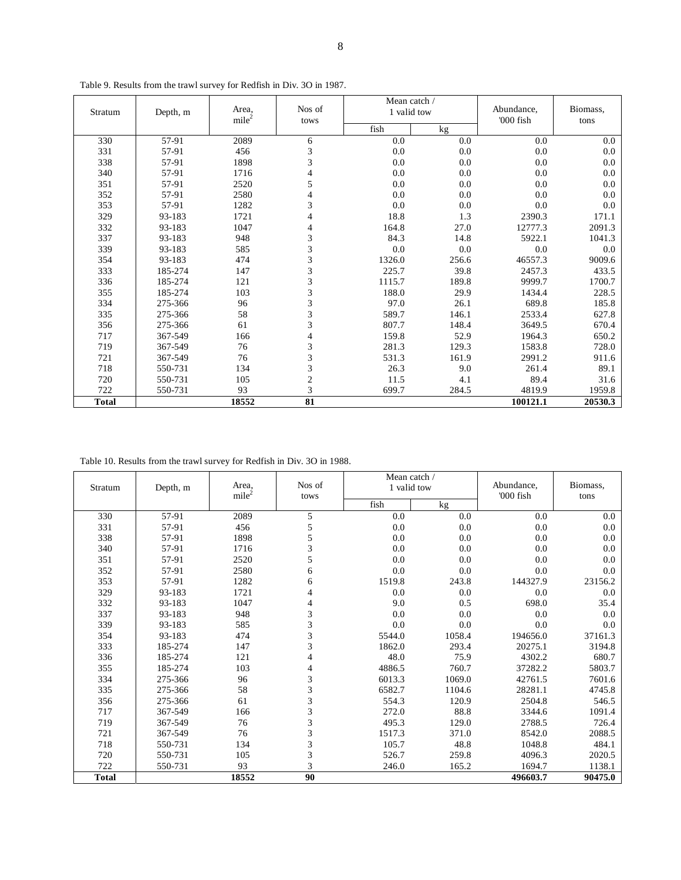| Stratum      | Depth, m | Area,<br>mile <sup>2</sup> | Nos of<br>tows           | Mean catch /<br>1 valid tow |         | Abundance,<br>'000 fish | Biomass,<br>tons |
|--------------|----------|----------------------------|--------------------------|-----------------------------|---------|-------------------------|------------------|
|              |          |                            |                          | fish                        | kg      |                         |                  |
| 330          | 57-91    | 2089                       | 6                        | 0.0                         | 0.0     | 0.0                     | 0.0              |
| 331          | 57-91    | 456                        | 3                        | 0.0                         | 0.0     | 0.0                     | 0.0              |
| 338          | 57-91    | 1898                       | 3                        | 0.0                         | 0.0     | 0.0                     | 0.0              |
| 340          | 57-91    | 1716                       | $\overline{\mathcal{L}}$ | 0.0                         | 0.0     | 0.0                     | 0.0              |
| 351          | 57-91    | 2520                       | 5                        | 0.0                         | 0.0     | 0.0                     | 0.0              |
| 352          | 57-91    | 2580                       | 4                        | 0.0                         | 0.0     | 0.0                     | 0.0              |
| 353          | 57-91    | 1282                       | 3                        | 0.0                         | $0.0\,$ | 0.0                     | 0.0              |
| 329          | 93-183   | 1721                       | 4                        | 18.8                        | 1.3     | 2390.3                  | 171.1            |
| 332          | 93-183   | 1047                       | 4                        | 164.8                       | 27.0    | 12777.3                 | 2091.3           |
| 337          | 93-183   | 948                        | 3                        | 84.3                        | 14.8    | 5922.1                  | 1041.3           |
| 339          | 93-183   | 585                        | $\overline{3}$           | 0.0                         | 0.0     | 0.0                     | 0.0              |
| 354          | 93-183   | 474                        | 3                        | 1326.0                      | 256.6   | 46557.3                 | 9009.6           |
| 333          | 185-274  | 147                        | 3                        | 225.7                       | 39.8    | 2457.3                  | 433.5            |
| 336          | 185-274  | 121                        | 3                        | 1115.7                      | 189.8   | 9999.7                  | 1700.7           |
| 355          | 185-274  | 103                        | 3                        | 188.0                       | 29.9    | 1434.4                  | 228.5            |
| 334          | 275-366  | 96                         | $\overline{\mathbf{3}}$  | 97.0                        | 26.1    | 689.8                   | 185.8            |
| 335          | 275-366  | 58                         | 3                        | 589.7                       | 146.1   | 2533.4                  | 627.8            |
| 356          | 275-366  | 61                         | $\overline{\mathbf{3}}$  | 807.7                       | 148.4   | 3649.5                  | 670.4            |
| 717          | 367-549  | 166                        | 4                        | 159.8                       | 52.9    | 1964.3                  | 650.2            |
| 719          | 367-549  | 76                         | 3                        | 281.3                       | 129.3   | 1583.8                  | 728.0            |
| 721          | 367-549  | 76                         | 3                        | 531.3                       | 161.9   | 2991.2                  | 911.6            |
| 718          | 550-731  | 134                        | 3                        | 26.3                        | 9.0     | 261.4                   | 89.1             |
| 720          | 550-731  | 105                        | $\overline{c}$           | 11.5                        | 4.1     | 89.4                    | 31.6             |
| 722          | 550-731  | 93                         | 3                        | 699.7                       | 284.5   | 4819.9                  | 1959.8           |
| <b>Total</b> |          | 18552                      | 81                       |                             |         | 100121.1                | 20530.3          |

Table 9. Results from the trawl survey for Redfish in Div. 3O in 1987.

Table 10. Results from the trawl survey for Redfish in Div. 3O in 1988.

| Stratum      | Depth, m | Area.<br>mile <sup>2</sup> | Nos of<br>tows | Mean catch /<br>1 valid tow |        | Abundance,<br>'000 fish | Biomass,<br>tons |
|--------------|----------|----------------------------|----------------|-----------------------------|--------|-------------------------|------------------|
|              |          |                            |                | fish                        | kg     |                         |                  |
| 330          | 57-91    | 2089                       | 5              | 0.0                         | 0.0    | 0.0                     | 0.0              |
| 331          | 57-91    | 456                        | 5              | 0.0                         | 0.0    | 0.0                     | 0.0              |
| 338          | 57-91    | 1898                       | 5              | 0.0                         | 0.0    | 0.0                     | 0.0              |
| 340          | 57-91    | 1716                       | 3              | 0.0                         | 0.0    | 0.0                     | 0.0              |
| 351          | 57-91    | 2520                       | 5              | 0.0                         | 0.0    | 0.0                     | 0.0              |
| 352          | 57-91    | 2580                       | 6              | 0.0                         | 0.0    | 0.0                     | 0.0              |
| 353          | 57-91    | 1282                       | 6              | 1519.8                      | 243.8  | 144327.9                | 23156.2          |
| 329          | 93-183   | 1721                       | 4              | 0.0                         | 0.0    | 0.0                     | 0.0              |
| 332          | 93-183   | 1047                       | 4              | 9.0                         | 0.5    | 698.0                   | 35.4             |
| 337          | 93-183   | 948                        | 3              | 0.0                         | 0.0    | 0.0                     | 0.0              |
| 339          | 93-183   | 585                        | 3              | 0.0                         | 0.0    | 0.0                     | 0.0              |
| 354          | 93-183   | 474                        | 3              | 5544.0                      | 1058.4 | 194656.0                | 37161.3          |
| 333          | 185-274  | 147                        | 3              | 1862.0                      | 293.4  | 20275.1                 | 3194.8           |
| 336          | 185-274  | 121                        | 4              | 48.0                        | 75.9   | 4302.2                  | 680.7            |
| 355          | 185-274  | 103                        | 4              | 4886.5                      | 760.7  | 37282.2                 | 5803.7           |
| 334          | 275-366  | 96                         | 3              | 6013.3                      | 1069.0 | 42761.5                 | 7601.6           |
| 335          | 275-366  | 58                         | 3              | 6582.7                      | 1104.6 | 28281.1                 | 4745.8           |
| 356          | 275-366  | 61                         | 3              | 554.3                       | 120.9  | 2504.8                  | 546.5            |
| 717          | 367-549  | 166                        | 3              | 272.0                       | 88.8   | 3344.6                  | 1091.4           |
| 719          | 367-549  | 76                         | 3              | 495.3                       | 129.0  | 2788.5                  | 726.4            |
| 721          | 367-549  | 76                         | 3              | 1517.3                      | 371.0  | 8542.0                  | 2088.5           |
| 718          | 550-731  | 134                        | 3              | 105.7                       | 48.8   | 1048.8                  | 484.1            |
| 720          | 550-731  | 105                        | 3              | 526.7                       | 259.8  | 4096.3                  | 2020.5           |
| 722          | 550-731  | 93                         | 3              | 246.0                       | 165.2  | 1694.7                  | 1138.1           |
| <b>Total</b> |          | 18552                      | 90             |                             |        | 496603.7                | 90475.0          |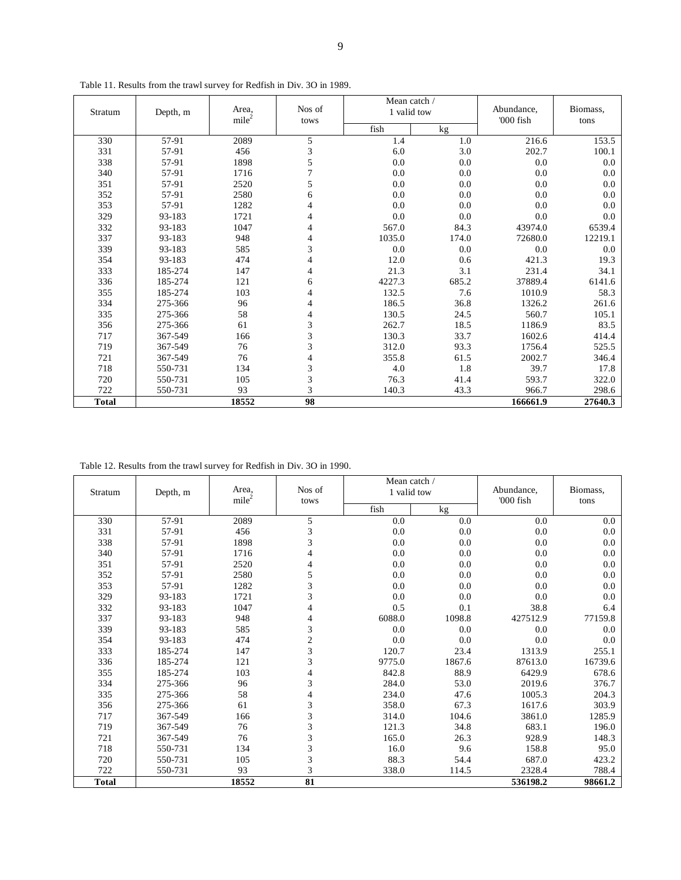| Stratum      | Depth, m | Area,             | Nos of         | Mean catch /<br>1 valid tow |       | Abundance, | Biomass, |
|--------------|----------|-------------------|----------------|-----------------------------|-------|------------|----------|
|              |          | mile <sup>2</sup> | tows           | fish                        | kg    | '000 fish  | tons     |
| 330          | 57-91    | 2089              | 5              | 1.4                         | 1.0   | 216.6      | 153.5    |
| 331          | 57-91    | 456               | 3              | 6.0                         | 3.0   | 202.7      | 100.1    |
| 338          | 57-91    | 1898              | 5              | 0.0                         | 0.0   | 0.0        | 0.0      |
| 340          | 57-91    | 1716              | $\overline{7}$ | 0.0                         | 0.0   | 0.0        | 0.0      |
| 351          | 57-91    | 2520              | 5              | 0.0                         | 0.0   | 0.0        | 0.0      |
| 352          | 57-91    | 2580              | 6              | 0.0                         | 0.0   | 0.0        | 0.0      |
| 353          | 57-91    | 1282              | $\overline{4}$ | 0.0                         | 0.0   | 0.0        | 0.0      |
| 329          | 93-183   | 1721              | 4              | 0.0                         | 0.0   | 0.0        | 0.0      |
| 332          | 93-183   | 1047              | 4              | 567.0                       | 84.3  | 43974.0    | 6539.4   |
| 337          | 93-183   | 948               | $\overline{4}$ | 1035.0                      | 174.0 | 72680.0    | 12219.1  |
| 339          | 93-183   | 585               | 3              | 0.0                         | 0.0   | 0.0        | 0.0      |
| 354          | 93-183   | 474               | 4              | 12.0                        | 0.6   | 421.3      | 19.3     |
| 333          | 185-274  | 147               | 4              | 21.3                        | 3.1   | 231.4      | 34.1     |
| 336          | 185-274  | 121               | 6              | 4227.3                      | 685.2 | 37889.4    | 6141.6   |
| 355          | 185-274  | 103               | 4              | 132.5                       | 7.6   | 1010.9     | 58.3     |
| 334          | 275-366  | 96                | 4              | 186.5                       | 36.8  | 1326.2     | 261.6    |
| 335          | 275-366  | 58                | $\overline{4}$ | 130.5                       | 24.5  | 560.7      | 105.1    |
| 356          | 275-366  | 61                | 3              | 262.7                       | 18.5  | 1186.9     | 83.5     |
| 717          | 367-549  | 166               | 3              | 130.3                       | 33.7  | 1602.6     | 414.4    |
| 719          | 367-549  | 76                | 3              | 312.0                       | 93.3  | 1756.4     | 525.5    |
| 721          | 367-549  | 76                | 4              | 355.8                       | 61.5  | 2002.7     | 346.4    |
| 718          | 550-731  | 134               | 3              | 4.0                         | 1.8   | 39.7       | 17.8     |
| 720          | 550-731  | 105               | $\overline{3}$ | 76.3                        | 41.4  | 593.7      | 322.0    |
| 722          | 550-731  | 93                | 3              | 140.3                       | 43.3  | 966.7      | 298.6    |
| <b>Total</b> |          | 18552             | 98             |                             |       | 166661.9   | 27640.3  |

Table 11. Results from the trawl survey for Redfish in Div. 3O in 1989.

Table 12. Results from the trawl survey for Redfish in Div. 3O in 1990.

| Stratum      | Depth, m | Area,<br>mile <sup>2</sup> | Nos of<br>tows |        | Mean catch /<br>1 valid tow |           | Biomass,<br>tons |
|--------------|----------|----------------------------|----------------|--------|-----------------------------|-----------|------------------|
|              |          |                            |                | fish   | kg                          | '000 fish |                  |
| 330          | 57-91    | 2089                       | 5              | 0.0    | 0.0                         | 0.0       | 0.0              |
| 331          | 57-91    | 456                        | 3              | 0.0    | 0.0                         | 0.0       | 0.0              |
| 338          | 57-91    | 1898                       | 3              | 0.0    | 0.0                         | 0.0       | 0.0              |
| 340          | 57-91    | 1716                       | 4              | 0.0    | 0.0                         | 0.0       | 0.0              |
| 351          | 57-91    | 2520                       | 4              | 0.0    | 0.0                         | 0.0       | 0.0              |
| 352          | 57-91    | 2580                       | 5              | 0.0    | 0.0                         | 0.0       | 0.0              |
| 353          | 57-91    | 1282                       | 3              | 0.0    | 0.0                         | 0.0       | 0.0              |
| 329          | 93-183   | 1721                       | 3              | 0.0    | 0.0                         | 0.0       | 0.0              |
| 332          | 93-183   | 1047                       | $\overline{4}$ | 0.5    | 0.1                         | 38.8      | 6.4              |
| 337          | 93-183   | 948                        | 4              | 6088.0 | 1098.8                      | 427512.9  | 77159.8          |
| 339          | 93-183   | 585                        | 3              | 0.0    | 0.0                         | 0.0       | 0.0              |
| 354          | 93-183   | 474                        | $\overline{c}$ | 0.0    | 0.0                         | 0.0       | 0.0              |
| 333          | 185-274  | 147                        | 3              | 120.7  | 23.4                        | 1313.9    | 255.1            |
| 336          | 185-274  | 121                        | 3              | 9775.0 | 1867.6                      | 87613.0   | 16739.6          |
| 355          | 185-274  | 103                        | 4              | 842.8  | 88.9                        | 6429.9    | 678.6            |
| 334          | 275-366  | 96                         | 3              | 284.0  | 53.0                        | 2019.6    | 376.7            |
| 335          | 275-366  | 58                         | 4              | 234.0  | 47.6                        | 1005.3    | 204.3            |
| 356          | 275-366  | 61                         | 3              | 358.0  | 67.3                        | 1617.6    | 303.9            |
| 717          | 367-549  | 166                        | 3              | 314.0  | 104.6                       | 3861.0    | 1285.9           |
| 719          | 367-549  | 76                         | 3              | 121.3  | 34.8                        | 683.1     | 196.0            |
| 721          | 367-549  | 76                         | 3              | 165.0  | 26.3                        | 928.9     | 148.3            |
| 718          | 550-731  | 134                        | 3              | 16.0   | 9.6                         | 158.8     | 95.0             |
| 720          | 550-731  | 105                        | 3              | 88.3   | 54.4                        | 687.0     | 423.2            |
| 722          | 550-731  | 93                         | 3              | 338.0  | 114.5                       | 2328.4    | 788.4            |
| <b>Total</b> |          | 18552                      | 81             |        |                             | 536198.2  | 98661.2          |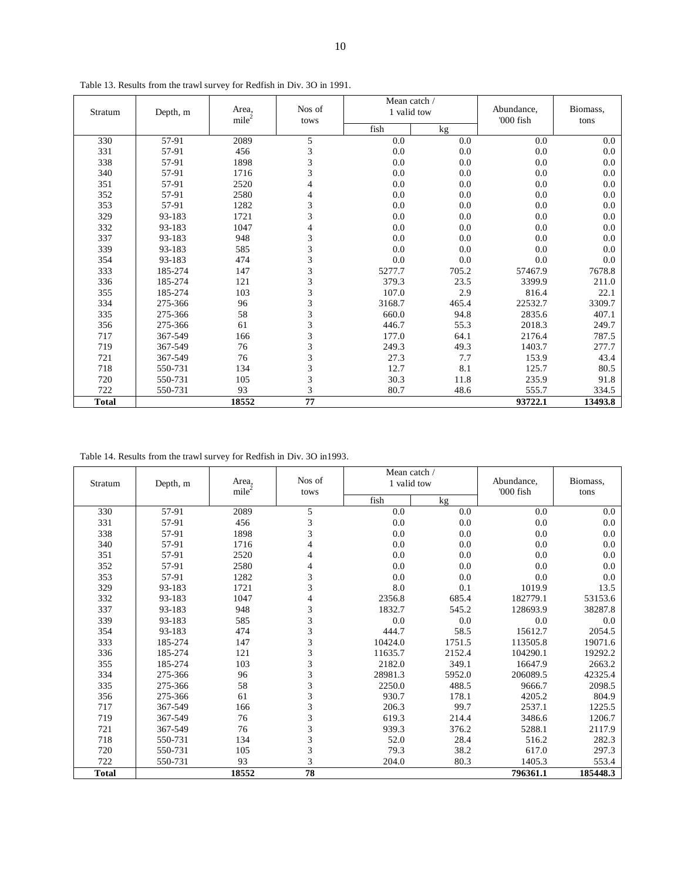| Stratum      | Depth, m | Area,<br>mile <sup>2</sup> | Nos of<br>tows | Mean catch /<br>1 valid tow |       | Abundance,<br>'000 fish | Biomass,<br>tons |  |
|--------------|----------|----------------------------|----------------|-----------------------------|-------|-------------------------|------------------|--|
|              |          |                            |                | fish                        | kg    |                         |                  |  |
| 330          | 57-91    | 2089                       | 5              | 0.0                         | 0.0   | 0.0                     | 0.0              |  |
| 331          | 57-91    | 456                        | 3              | 0.0                         | 0.0   | 0.0                     | 0.0              |  |
| 338          | 57-91    | 1898                       | 3              | 0.0                         | 0.0   | 0.0                     | 0.0              |  |
| 340          | 57-91    | 1716                       | 3              | 0.0                         | 0.0   | 0.0                     | 0.0              |  |
| 351          | 57-91    | 2520                       | 4              | 0.0                         | 0.0   | 0.0                     | 0.0              |  |
| 352          | 57-91    | 2580                       | 4              | 0.0                         | 0.0   | 0.0                     | 0.0              |  |
| 353          | 57-91    | 1282                       | 3              | 0.0                         | 0.0   | 0.0                     | 0.0              |  |
| 329          | 93-183   | 1721                       | 3              | 0.0                         | 0.0   | 0.0                     | 0.0              |  |
| 332          | 93-183   | 1047                       | 4              | 0.0                         | 0.0   | 0.0                     | 0.0              |  |
| 337          | 93-183   | 948                        | 3              | 0.0                         | 0.0   | 0.0                     | 0.0              |  |
| 339          | 93-183   | 585                        | $\overline{3}$ | 0.0                         | 0.0   | 0.0                     | 0.0              |  |
| 354          | 93-183   | 474                        | 3              | 0.0                         | 0.0   | 0.0                     | 0.0              |  |
| 333          | 185-274  | 147                        | 3              | 5277.7                      | 705.2 | 57467.9                 | 7678.8           |  |
| 336          | 185-274  | 121                        | 3              | 379.3                       | 23.5  | 3399.9                  | 211.0            |  |
| 355          | 185-274  | 103                        | 3              | 107.0                       | 2.9   | 816.4                   | 22.1             |  |
| 334          | 275-366  | 96                         | $\overline{3}$ | 3168.7                      | 465.4 | 22532.7                 | 3309.7           |  |
| 335          | 275-366  | 58                         | 3              | 660.0                       | 94.8  | 2835.6                  | 407.1            |  |
| 356          | 275-366  | 61                         | 3              | 446.7                       | 55.3  | 2018.3                  | 249.7            |  |
| 717          | 367-549  | 166                        | 3              | 177.0                       | 64.1  | 2176.4                  | 787.5            |  |
| 719          | 367-549  | 76                         | 3              | 249.3                       | 49.3  | 1403.7                  | 277.7            |  |
| 721          | 367-549  | 76                         | 3              | 27.3                        | 7.7   | 153.9                   | 43.4             |  |
| 718          | 550-731  | 134                        | 3              | 12.7                        | 8.1   | 125.7                   | 80.5             |  |
| 720          | 550-731  | 105                        | $\overline{3}$ | 30.3                        | 11.8  | 235.9                   | 91.8             |  |
| 722          | 550-731  | 93                         | $\overline{3}$ | 80.7                        | 48.6  | 555.7                   | 334.5            |  |
| <b>Total</b> |          | 18552                      | 77             |                             |       | 93722.1                 | 13493.8          |  |

Table 13. Results from the trawl survey for Redfish in Div. 3O in 1991.

Table 14. Results from the trawl survey for Redfish in Div. 3O in1993.

| Stratum      | Depth, m | Area.             | Nos of<br>tows | Mean catch /<br>1 valid tow |        | Abundance,<br>'000 fish | Biomass,<br>tons |
|--------------|----------|-------------------|----------------|-----------------------------|--------|-------------------------|------------------|
|              |          | mile <sup>2</sup> |                | fish                        | kg     |                         |                  |
| 330          | 57-91    | 2089              | 5              | 0.0                         | 0.0    | 0.0                     | 0.0              |
| 331          | 57-91    | 456               | 3              | 0.0                         | 0.0    | 0.0                     | 0.0              |
| 338          | 57-91    | 1898              | 3              | 0.0                         | 0.0    | 0.0                     | 0.0              |
| 340          | 57-91    | 1716              | 4              | 0.0                         | 0.0    | 0.0                     | 0.0              |
| 351          | 57-91    | 2520              | 4              | 0.0                         | 0.0    | 0.0                     | 0.0              |
| 352          | 57-91    | 2580              | 4              | 0.0                         | 0.0    | 0.0                     | 0.0              |
| 353          | 57-91    | 1282              | 3              | 0.0                         | 0.0    | 0.0                     | 0.0              |
| 329          | 93-183   | 1721              | 3              | 8.0                         | 0.1    | 1019.9                  | 13.5             |
| 332          | 93-183   | 1047              | 4              | 2356.8                      | 685.4  | 182779.1                | 53153.6          |
| 337          | 93-183   | 948               | 3              | 1832.7                      | 545.2  | 128693.9                | 38287.8          |
| 339          | 93-183   | 585               | 3              | 0.0                         | 0.0    | 0.0                     | 0.0              |
| 354          | 93-183   | 474               | 3              | 444.7                       | 58.5   | 15612.7                 | 2054.5           |
| 333          | 185-274  | 147               | 3              | 10424.0                     | 1751.5 | 113505.8                | 19071.6          |
| 336          | 185-274  | 121               | 3              | 11635.7                     | 2152.4 | 104290.1                | 19292.2          |
| 355          | 185-274  | 103               | 3              | 2182.0                      | 349.1  | 16647.9                 | 2663.2           |
| 334          | 275-366  | 96                | 3              | 28981.3                     | 5952.0 | 206089.5                | 42325.4          |
| 335          | 275-366  | 58                | 3              | 2250.0                      | 488.5  | 9666.7                  | 2098.5           |
| 356          | 275-366  | 61                | 3              | 930.7                       | 178.1  | 4205.2                  | 804.9            |
| 717          | 367-549  | 166               | 3              | 206.3                       | 99.7   | 2537.1                  | 1225.5           |
| 719          | 367-549  | 76                | 3              | 619.3                       | 214.4  | 3486.6                  | 1206.7           |
| 721          | 367-549  | 76                | 3              | 939.3                       | 376.2  | 5288.1                  | 2117.9           |
| 718          | 550-731  | 134               | 3              | 52.0                        | 28.4   | 516.2                   | 282.3            |
| 720          | 550-731  | 105               | 3              | 79.3                        | 38.2   | 617.0                   | 297.3            |
| 722          | 550-731  | 93                | 3              | 204.0                       | 80.3   | 1405.3                  | 553.4            |
| <b>Total</b> |          | 18552             | 78             |                             |        | 796361.1                | 185448.3         |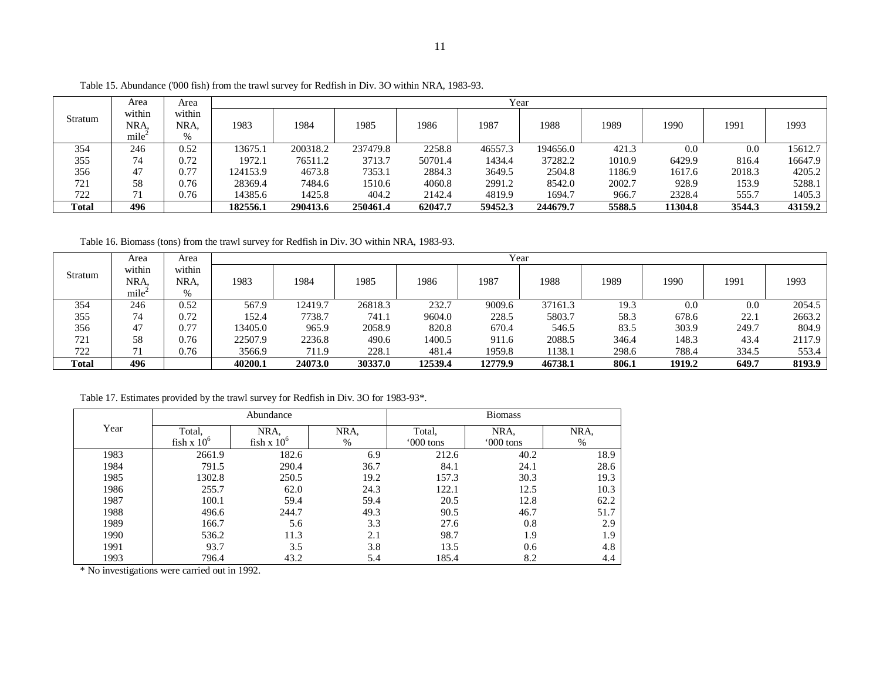|              | Area           | Area           | Year     |          |          |         |         |          |        |         |        |         |
|--------------|----------------|----------------|----------|----------|----------|---------|---------|----------|--------|---------|--------|---------|
| Stratum      | within<br>NRA. | within<br>NRA. | 1983     | 1984     | 1985     | 1986    | 1987    | 1988     | 1989   | 1990    | 1991   | 1993    |
|              | mile           | %              |          |          |          |         |         |          |        |         |        |         |
| 354          | 246            | 0.52           | 13675.1  | 200318.2 | 237479.8 | 2258.8  | 46557.3 | 194656.0 | 421.3  | 0.0     | 0.0    | 15612.7 |
| 355          | 74             | 0.72           | 1972.1   | 76511.2  | 3713.7   | 50701.4 | 1434.4  | 37282.2  | 1010.9 | 6429.9  | 816.4  | 16647.9 |
| 356          | 47             | 0.77           | 124153.9 | 4673.8   | 7353.1   | 2884.3  | 3649.5  | 2504.8   | 1186.9 | 1617.6  | 2018.3 | 4205.2  |
| 721          | 58             | 0.76           | 28369.4  | 7484.6   | 1510.6   | 4060.8  | 2991.2  | 8542.0   | 2002.7 | 928.9   | 153.9  | 5288.1  |
| 722          | 71             | 0.76           | 14385.6  | 1425.8   | 404.2    | 2142.4  | 4819.9  | 1694.7   | 966.7  | 2328.4  | 555.7  | 1405.3  |
| <b>Total</b> | 496            |                | 182556.1 | 290413.6 | 250461.4 | 62047.7 | 59452.3 | 244679.7 | 5588.5 | 11304.8 | 3544.3 | 43159.2 |

Table 15. Abundance ('000 fish) from the trawl survey for Redfish in Div. 3O within NRA, 1983-93.

Table 16. Biomass (tons) from the trawl survey for Redfish in Div. 3O within NRA, 1983-93.

|         | Area   | Area   | Year    |         |         |         |         |         |       |        |       |        |
|---------|--------|--------|---------|---------|---------|---------|---------|---------|-------|--------|-------|--------|
| Stratum | within | within |         |         |         |         |         |         |       |        |       |        |
|         | NRA.   | NRA.   | 1983    | 1984    | 1985    | 1986    | 1987    | 1988    | 1989  | 1990   | 1991  | 1993   |
|         | mile   | $\%$   |         |         |         |         |         |         |       |        |       |        |
| 354     | 246    | 0.52   | 567.9   | 12419.7 | 26818.3 | 232.7   | 9009.6  | 37161.3 | 19.3  | 0.0    | 0.0   | 2054.5 |
| 355     | 74     | 0.72   | 152.4   | 7738.7  | 741.1   | 9604.0  | 228.5   | 5803.7  | 58.3  | 678.6  | 22.1  | 2663.2 |
| 356     | 47     | 0.77   | 13405.0 | 965.9   | 2058.9  | 820.8   | 670.4   | 546.5   | 83.5  | 303.9  | 249.7 | 804.9  |
| 721     | 58     | 0.76   | 22507.9 | 2236.8  | 490.6   | 1400.5  | 911.6   | 2088.5  | 346.4 | 148.3  | 43.4  | 2117.9 |
| 722     | 71     | 0.76   | 3566.9  | 711.9   | 228.1   | 481.4   | 1959.8  | 1138.1  | 298.6 | 788.4  | 334.5 | 553.4  |
| Total   | 496    |        | 40200.1 | 24073.0 | 30337.0 | 12539.4 | 12779.9 | 46738.1 | 806.1 | 1919.2 | 649.7 | 8193.9 |

Table 17. Estimates provided by the trawl survey for Redfish in Div. 3O for 1983-93\*.

|      |               | Abundance     |      | <b>Biomass</b> |            |      |  |  |
|------|---------------|---------------|------|----------------|------------|------|--|--|
| Year | Total.        | NRA,          | NRA, | Total.         | NRA.       | NRA, |  |  |
|      | fish x $10^6$ | fish $x 10^6$ | $\%$ | '000 tons      | $000$ tons | %    |  |  |
| 1983 | 2661.9        | 182.6         | 6.9  | 212.6          | 40.2       | 18.9 |  |  |
| 1984 | 791.5         | 290.4         | 36.7 | 84.1           | 24.1       | 28.6 |  |  |
| 1985 | 1302.8        | 250.5         | 19.2 | 157.3          | 30.3       | 19.3 |  |  |
| 1986 | 255.7         | 62.0          | 24.3 | 122.1          | 12.5       | 10.3 |  |  |
| 1987 | 100.1         | 59.4          | 59.4 | 20.5           | 12.8       | 62.2 |  |  |
| 1988 | 496.6         | 244.7         | 49.3 | 90.5           | 46.7       | 51.7 |  |  |
| 1989 | 166.7         | 5.6           | 3.3  | 27.6           | 0.8        | 2.9  |  |  |
| 1990 | 536.2         | 11.3          | 2.1  | 98.7           | 1.9        | 1.9  |  |  |
| 1991 | 93.7          | 3.5           | 3.8  | 13.5           | 0.6        | 4.8  |  |  |
| 1993 | 796.4         | 43.2          | 5.4  | 185.4          | 8.2        | 4.4  |  |  |

\* No investigations were carried out in 1992.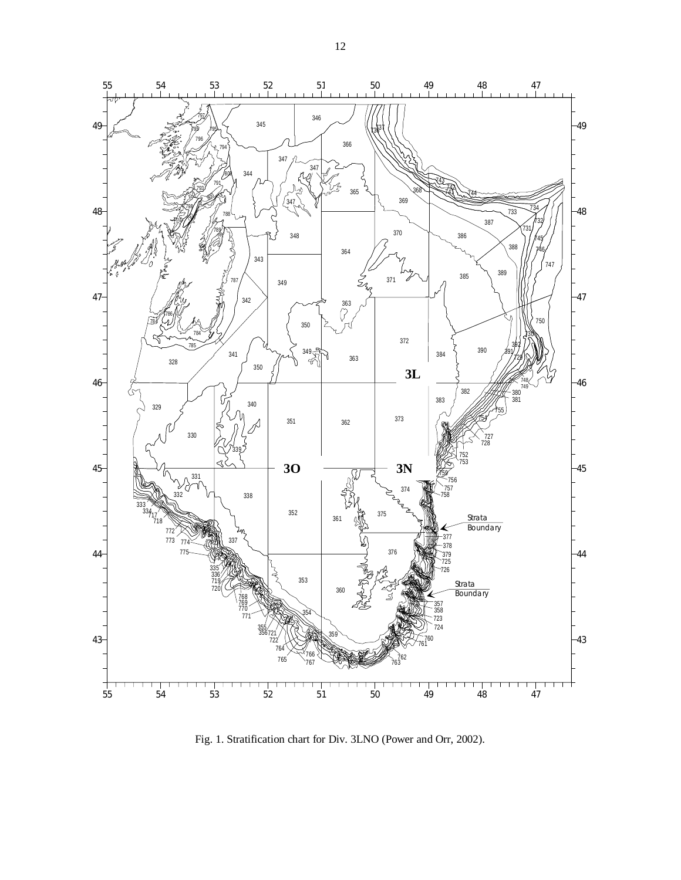

Fig. 1. Stratification chart for Div. 3LNO (Power and Orr, 2002).